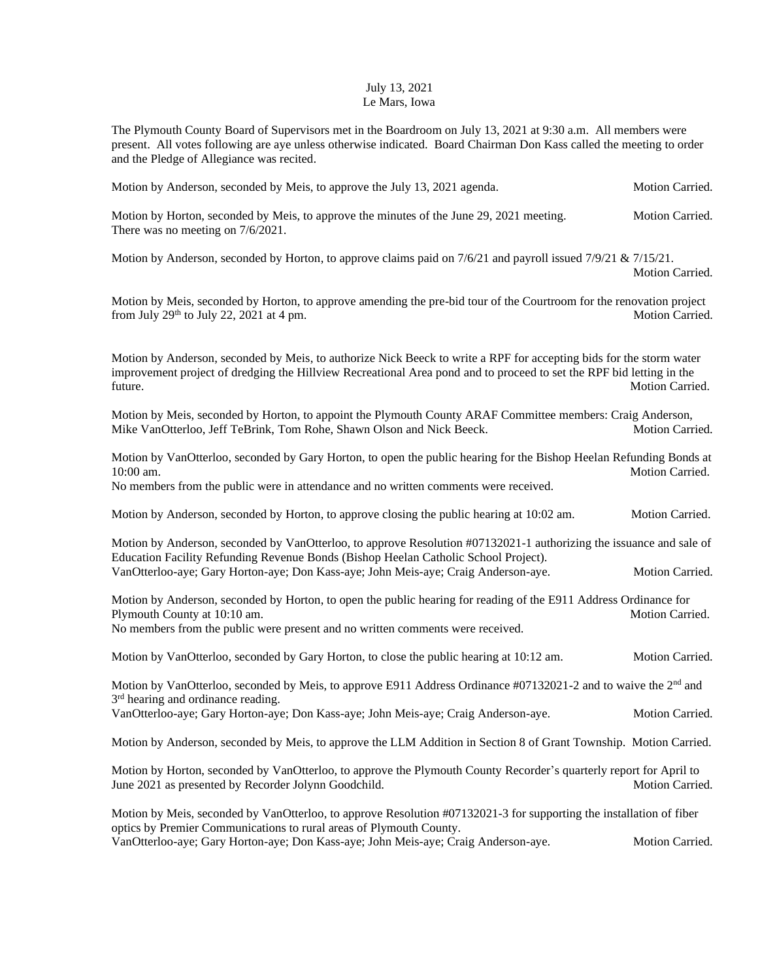## July 13, 2021 Le Mars, Iowa

The Plymouth County Board of Supervisors met in the Boardroom on July 13, 2021 at 9:30 a.m. All members were present. All votes following are aye unless otherwise indicated. Board Chairman Don Kass called the meeting to order and the Pledge of Allegiance was recited.

Motion by Anderson, seconded by Meis, to approve the July 13, 2021 agenda. Motion Carried.

Motion by Horton, seconded by Meis, to approve the minutes of the June 29, 2021 meeting. Motion Carried. There was no meeting on 7/6/2021.

Motion by Anderson, seconded by Horton, to approve claims paid on  $7/6/21$  and payroll issued  $7/9/21 \& 7/15/21$ . Motion Carried.

Motion by Meis, seconded by Horton, to approve amending the pre-bid tour of the Courtroom for the renovation project from July 29<sup>th</sup> to July 22, 2021 at 4 pm. Motion Carried.

Motion by Anderson, seconded by Meis, to authorize Nick Beeck to write a RPF for accepting bids for the storm water improvement project of dredging the Hillview Recreational Area pond and to proceed to set the RPF bid letting in the future. Motion Carried.

Motion by Meis, seconded by Horton, to appoint the Plymouth County ARAF Committee members: Craig Anderson, Mike VanOtterloo, Jeff TeBrink, Tom Rohe, Shawn Olson and Nick Beeck. Motion Carried.

Motion by VanOtterloo, seconded by Gary Horton, to open the public hearing for the Bishop Heelan Refunding Bonds at 10:00 am. Motion Carried.

No members from the public were in attendance and no written comments were received.

Motion by Anderson, seconded by Horton, to approve closing the public hearing at 10:02 am. Motion Carried.

Motion by Anderson, seconded by VanOtterloo, to approve Resolution #07132021-1 authorizing the issuance and sale of Education Facility Refunding Revenue Bonds (Bishop Heelan Catholic School Project). VanOtterloo-aye; Gary Horton-aye; Don Kass-aye; John Meis-aye; Craig Anderson-aye. Motion Carried.

Motion by Anderson, seconded by Horton, to open the public hearing for reading of the E911 Address Ordinance for Plymouth County at 10:10 am. Motion Carried. No members from the public were present and no written comments were received.

Motion by VanOtterloo, seconded by Gary Horton, to close the public hearing at 10:12 am. Motion Carried.

Motion by VanOtterloo, seconded by Meis, to approve E911 Address Ordinance #07132021-2 and to waive the  $2<sup>nd</sup>$  and 3<sup>rd</sup> hearing and ordinance reading.

VanOtterloo-aye; Gary Horton-aye; Don Kass-aye; John Meis-aye; Craig Anderson-aye. Motion Carried.

Motion by Anderson, seconded by Meis, to approve the LLM Addition in Section 8 of Grant Township. Motion Carried.

Motion by Horton, seconded by VanOtterloo, to approve the Plymouth County Recorder's quarterly report for April to June 2021 as presented by Recorder Jolynn Goodchild. Motion Carried. Motion Carried.

Motion by Meis, seconded by VanOtterloo, to approve Resolution #07132021-3 for supporting the installation of fiber optics by Premier Communications to rural areas of Plymouth County. VanOtterloo-aye; Gary Horton-aye; Don Kass-aye; John Meis-aye; Craig Anderson-aye. Motion Carried.